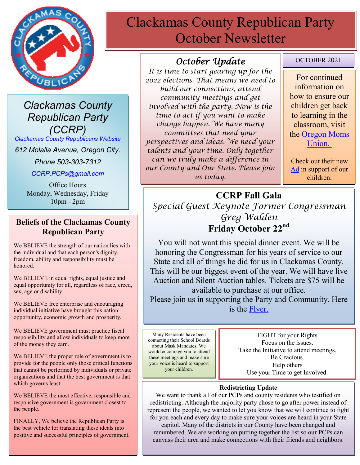

*Clackamas County Republican Party (CCRP)*

*[Clackamas County Republicans Website](https://www.clackamascountyrepublicans.org/)*

*612 Molalla Avenue, Oregon City.* 

*Phone 503-303-7312*

*[CCRP.PCPs@gmail.com](mailto:CCRP.PCPs@gmail.com)*

Office Hours Monday, Wednesday, Friday 10pm - 2pm

#### **Beliefs of the Clackamas County Republican Party**

We BELIEVE the strength of our nation lies with the individual and that each person's dignity, freedom, ability and responsibility must be honored.

We BELIEVE in equal rights, equal justice and equal opportunity for all, regardless of race, creed, sex, age or disability.

We BELIEVE free enterprise and encouraging individual initiative have brought this nation opportunity, economic growth and prosperity.

We BELIEVE government must practice fiscal responsibility and allow individuals to keep more of the money they earn.

We BELIEVE the proper role of government is to provide for the people only those critical functions that cannot be performed by individuals or private organizations and that the best government is that which governs least.

We BELIEVE the most effective, responsible and responsive government is government closest to the people.

FINALLY, We believe the Republican Party is the best vehicle for translating these ideals into positive and successful principles of government.

# Clackamas County Republican Party October Newsletter

## *October Update*

*It is time to start gearing up for the 2022 elections. That means we need to build our connections, attend community meetings and get involved with the party. Now is the time to act if you want to make change happen. We have many committees that need your perspectives and ideas. We need your talents and your time. Only together can we truly make a difference in our County and Our State. Please join us today.*

OCTOBER 2021

For continued information on how to ensure our children get back to learning in the classroom, visit the [Oregon Moms](https://www.oregonmomsunion.com/)  [Union.](https://www.oregonmomsunion.com/)

Check out their new [Ad](https://www.facebook.com/oregonmomsunion/videos/530880411358307) in support of our children.

# **CCRP Fall Gala** *Special Guest Keynote Former Congressman Greg Walden* **Friday October 22nd**

You will not want this special dinner event. We will be honoring the Congressman for his years of service to our State and all of things he did for us in Clackamas County. This will be our biggest event of the year. We will have live Auction and Silent Auction tables. Tickets are \$75 will be available to purchase at our office. Please join us in supporting the Party and Community. Here is the [Flyer.](https://www.clackamascountyrepublicans.org/wp-content/uploads/2021/08/INVITE-FLYER-CELEBRATE-1.pdf)

Many Residents have been contacting their School Boards about Mask Mandates. We would encourage you to attend these meetings and make sure your voice is heard to support your children.

FIGHT for your Rights Focus on the issues. Take the Initiative to attend meetings. Be Gracious. Help others Use your Time to get Involved.

#### **Redistricting Update**

We want to thank all of our PCPs and county residents who testified on redistricting. Although the majority party chose to go after power instead of represent the people, we wanted to let you know that we will continue to fight for you each and every day to make sure your voices are heard in your State capitol. Many of the districts in our County have been changed and renumbered. We are working on putting together the list so our PCPs can canvass their area and make connections with their friends and neighbors.